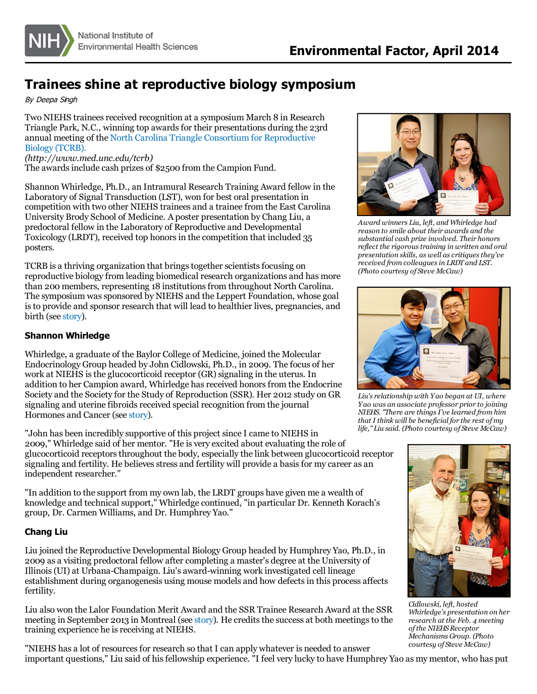

## **Trainees shine at reproductive biology symposium**

By Deepa Singh

Two NIEHS trainees received recognition at a symposium March 8 in Research Triangle Park, N.C., winning top awards for their presentations during the 23rd annual meeting of the North Carolina Triangle Consortium for [Reproductive](http://www.med.unc.edu/tcrb) Biology (TCRB).

*(http://www.med.unc.edu/tcrb)*

The awards include cash prizes of \$2500 from the Campion Fund.

Shannon Whirledge, Ph.D., an Intramural Research Training Award fellow in the Laboratory of Signal Transduction (LST), won for best oral presentation in competition with two other NIEHS trainees and a trainee from the East Carolina University Brody School of Medicine. A poster presentation by Chang Liu, a predoctoral fellow in the Laboratory of Reproductive and Developmental Toxicology (LRDT), received top honorsin the competition that included 35 posters.

TCRB is a thriving organization that brings together scientists focusing on reproductive biology from leading biomedical research organizations and has more than 200 members, representing 18 institutionsfrom throughout North Carolina. The symposium was sponsored by NIEHS and the Leppert Foundation, whose goal isto provide and sponsor research that will lead to healthier lives, pregnancies, and birth (see [story](http://www.niehs.nih.gov/news/newsletter/2014/4/spotlight-regional/index.htm)).

## **Shannon Whirledge**

Whirledge, a graduate of the Baylor College of Medicine, joined the Molecular Endocrinology Group headed by John Cidlowski, Ph.D., in 2009. The focus of her work at NIEHS is the glucocorticoid receptor (GR) signaling in the uterus. In addition to her Campion award, Whirledge has received honors from the Endocrine Society and the Society for the Study of Reproduction (SSR). Her 2012 study on GR signaling and uterine fibroids received special recognition from the journal Hormones and Cancer (see [story](http://www.niehs.nih.gov/news/newsletter/2012/4/science-hormonesandcancer/index.htm)).

"John has been incredibly supportive of this project since I came to NIEHS in 2009," Whirledge said of her mentor. "He is very excited about evaluating the role of glucocorticoid receptorsthroughout the body, especially the link between glucocorticoid receptor signaling and fertility. He believes stress and fertility will provide a basis for my career as an independent researcher."

"In addition to the support from my own lab, the LRDT groups have given me a wealth of knowledge and technical support," Whirledge continued, "in particular Dr. Kenneth Korach's group, Dr. Carmen Williams, and Dr. Humphrey Yao."

## **Chang Liu**

Liu joined the Reproductive Developmental Biology Group headed by Humphrey Yao, Ph.D., in 2009 as a visiting predoctoral fellow aftercompleting a master's degree at the University of Illinois(UI) at Urbana-Champaign. Liu's award-winning work investigated cell lineage establishment during organogenesis using mouse models and how defects in this process affects fertility.

Liu also won the Lalor Foundation Merit Award and the SSR Trainee Research Award at the SSR meeting in September 2013 in Montreal (see [story](http://www.niehs.nih.gov/news/newsletter/2013/9/science-trainees/index.htm)). He credits the success at both meetings to the training experience he is receiving at NIEHS.



*Award winners Liu, left, and Whirledge had reason to smile about their awards and the substantialcash prize involved. Their honors reflect the rigoroustraining in written and oral presentation skills, as well ascritiquesthey've received from colleaguesin LRDT and LST. (Photo courtesy of Steve McCaw)*



*Liu's relationship with Yao began at UI, where Yao was an associate professor prior to joining NIEHS. "There are thingsI've learned from him that I think will be beneficial for the rest ofmy life," Liu said. (Photo courtesy of Steve McCaw)*



*Cidlowski, left, hosted Whirledge's presentation on her research at the Feb. 4 meeting ofthe NIEHSReceptor Mechanisms Group. (Photo courtesy of Steve McCaw)*

"NIEHS has a lot of resourcesfor research so that I can apply whatever is needed to answer important questions," Liu said of hisfellowship experience. "I feel very lucky to have Humphrey Yao as my mentor, who has put